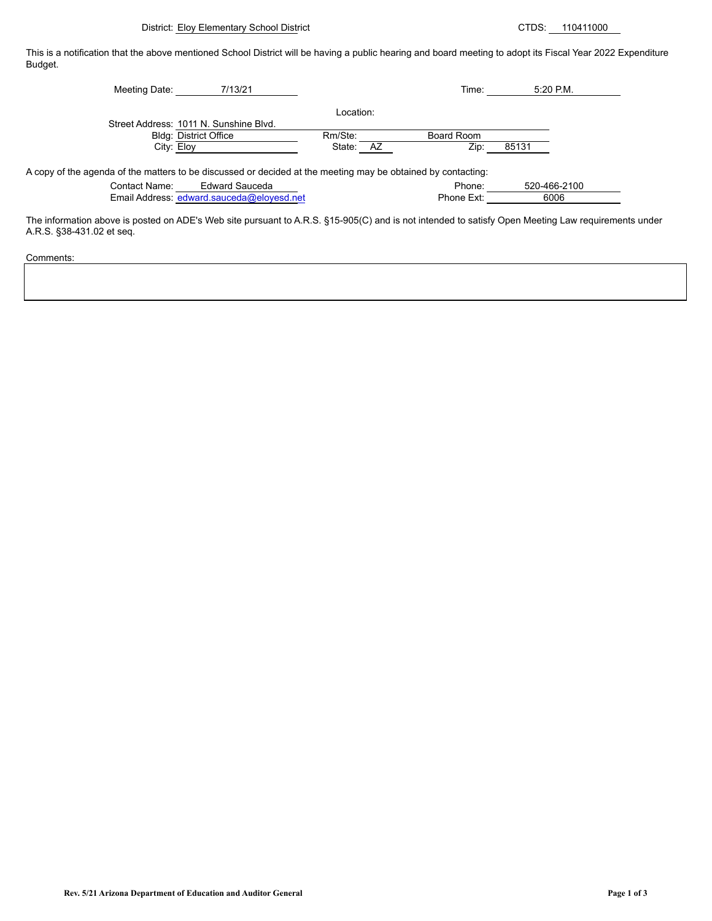District: Eloy Elementary School District CTDS: 110411000

This is a notification that the above mentioned School District will be having a public hearing and board meeting to adopt its Fiscal Year 2022 Expenditure Budget.

| Meeting Date:                                                                                                | 7/13/21                                   |           | Time:      | $5:20$ P.M.  |
|--------------------------------------------------------------------------------------------------------------|-------------------------------------------|-----------|------------|--------------|
|                                                                                                              |                                           | Location: |            |              |
|                                                                                                              | Street Address: 1011 N. Sunshine Blvd.    |           |            |              |
|                                                                                                              | <b>Bldg: District Office</b>              | Rm/Ste:   | Board Room |              |
| City: Eloy                                                                                                   |                                           | State: AZ | Zip:       | 85131        |
| A copy of the agenda of the matters to be discussed or decided at the meeting may be obtained by contacting: |                                           |           |            |              |
| Contact Name:                                                                                                | <b>Edward Sauceda</b>                     |           | Phone:     | 520-466-2100 |
|                                                                                                              | Email Address: edward.sauceda@eloyesd.net |           | Phone Ext: | 6006         |

The information above is posted on ADE's Web site pursuant to A.R.S. §15-905(C) and is not intended to satisfy Open Meeting Law requirements under A.R.S. §38-431.02 et seq.

Comments: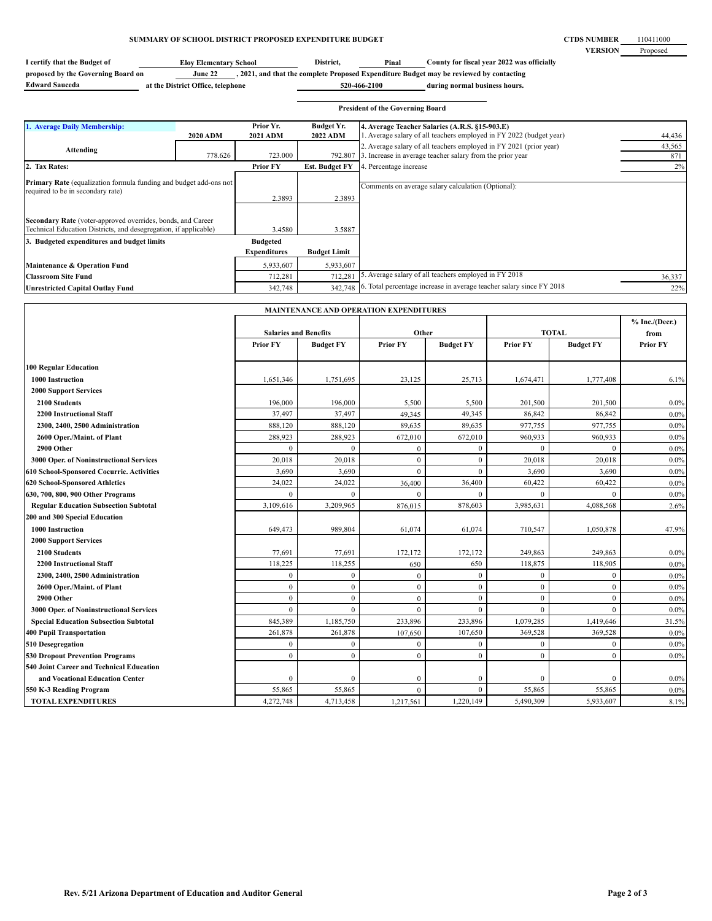## **SUMMARY OF SCHOOL DISTRICT PROPOSED EXPENDITURE BUDGET**

**CTDS NUMBER VERSION** 110411000 Proposed

| I certify that the Budget of       | <b>Elov Elementary School</b>     | District,    | Pinal | County for fiscal year 2022 was officially                                              |
|------------------------------------|-----------------------------------|--------------|-------|-----------------------------------------------------------------------------------------|
| proposed by the Governing Board on | June 22                           |              |       | , 2021, and that the complete Proposed Expenditure Budget may be reviewed by contacting |
| <b>Edward Sauceda</b>              | at the District Office, telephone | 520-466-2100 |       | during normal business hours.                                                           |

|                                                                                                                                 |                 |                                        |                       | <b>President of the Governing Board</b>                              |        |
|---------------------------------------------------------------------------------------------------------------------------------|-----------------|----------------------------------------|-----------------------|----------------------------------------------------------------------|--------|
| 1. Average Daily Membership:                                                                                                    |                 | Prior Yr.                              | <b>Budget Yr.</b>     | 4. Average Teacher Salaries (A.R.S. §15-903.E)                       |        |
|                                                                                                                                 | <b>2020 ADM</b> | <b>2021 ADM</b>                        | <b>2022 ADM</b>       | 1. Average salary of all teachers employed in FY 2022 (budget year)  | 44,436 |
| Attending                                                                                                                       |                 |                                        |                       | 2. Average salary of all teachers employed in FY 2021 (prior year)   | 43,565 |
|                                                                                                                                 | 778.626         | 723.000                                | 792.807               | 3. Increase in average teacher salary from the prior year            | 871    |
| 2. Tax Rates:                                                                                                                   |                 | <b>Prior FY</b>                        | <b>Est. Budget FY</b> | 4. Percentage increase                                               | 2%     |
| <b>Primary Rate</b> (equalization formula funding and budget add-ons not<br>required to be in secondary rate)                   |                 | 2.3893                                 | 2.3893                | Comments on average salary calculation (Optional):                   |        |
| Secondary Rate (voter-approved overrides, bonds, and Career<br>Technical Education Districts, and desegregation, if applicable) |                 | 3.4580                                 | 3.5887                |                                                                      |        |
| 3. Budgeted expenditures and budget limits                                                                                      |                 | <b>Budgeted</b><br><b>Expenditures</b> | <b>Budget Limit</b>   |                                                                      |        |
| Maintenance & Operation Fund                                                                                                    |                 | 5,933,607                              | 5,933,607             |                                                                      |        |
| <b>Classroom Site Fund</b>                                                                                                      |                 | 712,281                                | 712,281               | 5. Average salary of all teachers employed in FY 2018                | 36,337 |
| Unrestricted Capital Outlay Fund                                                                                                |                 | 342,748                                | 342,748               | 6. Total percentage increase in average teacher salary since FY 2018 | 22%    |

| <b>MAINTENANCE AND OPERATION EXPENDITURES</b> |                              |                  |                  |                  |                 |                  |                  |
|-----------------------------------------------|------------------------------|------------------|------------------|------------------|-----------------|------------------|------------------|
|                                               |                              |                  |                  |                  |                 |                  | $%$ Inc./(Decr.) |
|                                               | <b>Salaries and Benefits</b> |                  | Other            |                  | <b>TOTAL</b>    |                  | from             |
|                                               | <b>Prior FY</b>              | <b>Budget FY</b> | <b>Prior FY</b>  | <b>Budget FY</b> | <b>Prior FY</b> | <b>Budget FY</b> | <b>Prior FY</b>  |
| <b>100 Regular Education</b>                  |                              |                  |                  |                  |                 |                  |                  |
|                                               |                              |                  |                  |                  |                 |                  |                  |
| <b>1000 Instruction</b>                       | 1,651,346                    | 1,751,695        | 23,125           | 25,713           | 1,674,471       | 1,777,408        | 6.1%             |
| <b>2000 Support Services</b>                  |                              |                  |                  |                  |                 |                  |                  |
| 2100 Students                                 | 196,000                      | 196,000          | 5,500            | 5,500            | 201,500         | 201,500          | $0.0\%$          |
| <b>2200 Instructional Staff</b>               | 37,497                       | 37,497           | 49,345           | 49,345           | 86,842          | 86,842           | 0.0%             |
| 2300, 2400, 2500 Administration               | 888,120                      | 888,120          | 89,635           | 89,635           | 977,755         | 977,755          | $0.0\%$          |
| 2600 Oper./Maint. of Plant                    | 288,923                      | 288,923          | 672,010          | 672,010          | 960,933         | 960,933          | 0.0%             |
| 2900 Other                                    | $\theta$                     | $\theta$         | $\boldsymbol{0}$ | $\mathbf{0}$     | $\mathbf{0}$    | $\theta$         | 0.0%             |
| 3000 Oper. of Noninstructional Services       | 20,018                       | 20,018           | $\mathbf{0}$     | $\mathbf{0}$     | 20,018          | 20,018           | 0.0%             |
| 610 School-Sponsored Cocurric. Activities     | 3,690                        | 3,690            | $\theta$         | $\theta$         | 3,690           | 3,690            | 0.0%             |
| 620 School-Sponsored Athletics                | 24,022                       | 24,022           | 36,400           | 36,400           | 60,422          | 60,422           | 0.0%             |
| 630, 700, 800, 900 Other Programs             | $\theta$                     | $\theta$         | $\Omega$         | $\theta$         | $\Omega$        | $\theta$         | 0.0%             |
| <b>Regular Education Subsection Subtotal</b>  | 3,109,616                    | 3,209,965        | 876,015          | 878,603          | 3,985,631       | 4,088,568        | 2.6%             |
| 200 and 300 Special Education                 |                              |                  |                  |                  |                 |                  |                  |
| <b>1000 Instruction</b>                       | 649,473                      | 989,804          | 61,074           | 61,074           | 710,547         | 1,050,878        | 47.9%            |
| <b>2000 Support Services</b>                  |                              |                  |                  |                  |                 |                  |                  |
| 2100 Students                                 | 77,691                       | 77,691           | 172,172          | 172,172          | 249,863         | 249,863          | 0.0%             |
| <b>2200 Instructional Staff</b>               | 118,225                      | 118,255          | 650              | 650              | 118,875         | 118,905          | 0.0%             |
| 2300, 2400, 2500 Administration               | $\overline{0}$               | $\overline{0}$   | $\mathbf{0}$     | $\mathbf{0}$     | $\mathbf{0}$    | $\mathbf{0}$     | 0.0%             |
| 2600 Oper./Maint. of Plant                    | $\overline{0}$               | $\overline{0}$   | $\boldsymbol{0}$ | $\mathbf{0}$     | $\mathbf{0}$    | $\mathbf{0}$     | 0.0%             |
| 2900 Other                                    | $\overline{0}$               | $\mathbf{0}$     | $\bf{0}$         | $\mathbf{0}$     | $\mathbf{0}$    | $\mathbf{0}$     | 0.0%             |
| 3000 Oper. of Noninstructional Services       | $\overline{0}$               | $\overline{0}$   | $\mathbf{0}$     | $\mathbf{0}$     | $\mathbf{0}$    | $\theta$         | 0.0%             |
| <b>Special Education Subsection Subtotal</b>  | 845,389                      | 1,185,750        | 233,896          | 233,896          | 1,079,285       | 1,419,646        | 31.5%            |
| 400 Pupil Transportation                      | 261,878                      | 261,878          | 107,650          | 107,650          | 369,528         | 369,528          | 0.0%             |
| 510 Desegregation                             | $\overline{0}$               | $\overline{0}$   | $\bf{0}$         | $\mathbf{0}$     | $\overline{0}$  | $\mathbf{0}$     | 0.0%             |
| <b>530 Dropout Prevention Programs</b>        | $\overline{0}$               | $\overline{0}$   | $\mathbf{0}$     | $\theta$         | $\overline{0}$  | $\mathbf{0}$     | $0.0\%$          |
| 540 Joint Career and Technical Education      |                              |                  |                  |                  |                 |                  |                  |
| and Vocational Education Center               | $\mathbf{0}$                 | $\overline{0}$   | $\mathbf{0}$     | $\mathbf{0}$     | $\mathbf{0}$    | $\mathbf{0}$     | $0.0\%$          |
| 550 K-3 Reading Program                       | 55,865                       | 55,865           | $\mathbf{0}$     | $\theta$         | 55,865          | 55,865           | $0.0\%$          |
| <b>TOTAL EXPENDITURES</b>                     | 4,272,748                    | 4,713,458        | 1,217,561        | 1,220,149        | 5,490,309       | 5,933,607        | 8.1%             |